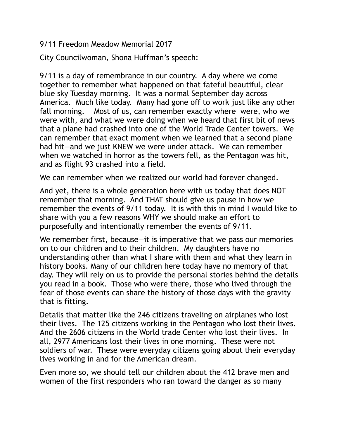9/11 Freedom Meadow Memorial 2017

City Councilwoman, Shona Huffman's speech:

9/11 is a day of remembrance in our country. A day where we come together to remember what happened on that fateful beautiful, clear blue sky Tuesday morning. It was a normal September day across America. Much like today. Many had gone off to work just like any other fall morning. Most of us, can remember exactly where were, who we were with, and what we were doing when we heard that first bit of news that a plane had crashed into one of the World Trade Center towers. We can remember that exact moment when we learned that a second plane had hit—and we just KNEW we were under attack. We can remember when we watched in horror as the towers fell, as the Pentagon was hit, and as flight 93 crashed into a field.

We can remember when we realized our world had forever changed.

And yet, there is a whole generation here with us today that does NOT remember that morning. And THAT should give us pause in how we remember the events of 9/11 today. It is with this in mind I would like to share with you a few reasons WHY we should make an effort to purposefully and intentionally remember the events of 9/11.

We remember first, because—it is imperative that we pass our memories on to our children and to their children. My daughters have no understanding other than what I share with them and what they learn in history books. Many of our children here today have no memory of that day. They will rely on us to provide the personal stories behind the details you read in a book. Those who were there, those who lived through the fear of those events can share the history of those days with the gravity that is fitting.

Details that matter like the 246 citizens traveling on airplanes who lost their lives. The 125 citizens working in the Pentagon who lost their lives. And the 2606 citizens in the World trade Center who lost their lives. In all, 2977 Americans lost their lives in one morning. These were not soldiers of war. These were everyday citizens going about their everyday lives working in and for the American dream.

Even more so, we should tell our children about the 412 brave men and women of the first responders who ran toward the danger as so many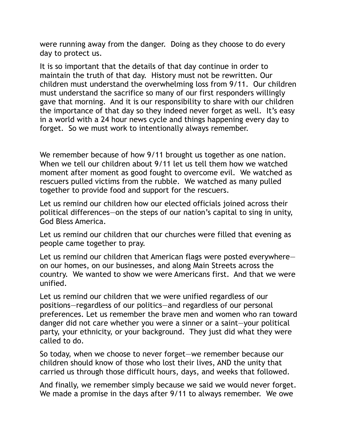were running away from the danger. Doing as they choose to do every day to protect us.

It is so important that the details of that day continue in order to maintain the truth of that day. History must not be rewritten. Our children must understand the overwhelming loss from 9/11. Our children must understand the sacrifice so many of our first responders willingly gave that morning. And it is our responsibility to share with our children the importance of that day so they indeed never forget as well. It's easy in a world with a 24 hour news cycle and things happening every day to forget. So we must work to intentionally always remember.

We remember because of how 9/11 brought us together as one nation. When we tell our children about 9/11 let us tell them how we watched moment after moment as good fought to overcome evil. We watched as rescuers pulled victims from the rubble. We watched as many pulled together to provide food and support for the rescuers.

Let us remind our children how our elected officials joined across their political differences—on the steps of our nation's capital to sing in unity, God Bless America.

Let us remind our children that our churches were filled that evening as people came together to pray.

Let us remind our children that American flags were posted everywhere on our homes, on our businesses, and along Main Streets across the country. We wanted to show we were Americans first. And that we were unified.

Let us remind our children that we were unified regardless of our positions—regardless of our politics—and regardless of our personal preferences. Let us remember the brave men and women who ran toward danger did not care whether you were a sinner or a saint—your political party, your ethnicity, or your background. They just did what they were called to do.

So today, when we choose to never forget—we remember because our children should know of those who lost their lives, AND the unity that carried us through those difficult hours, days, and weeks that followed.

And finally, we remember simply because we said we would never forget. We made a promise in the days after 9/11 to always remember. We owe